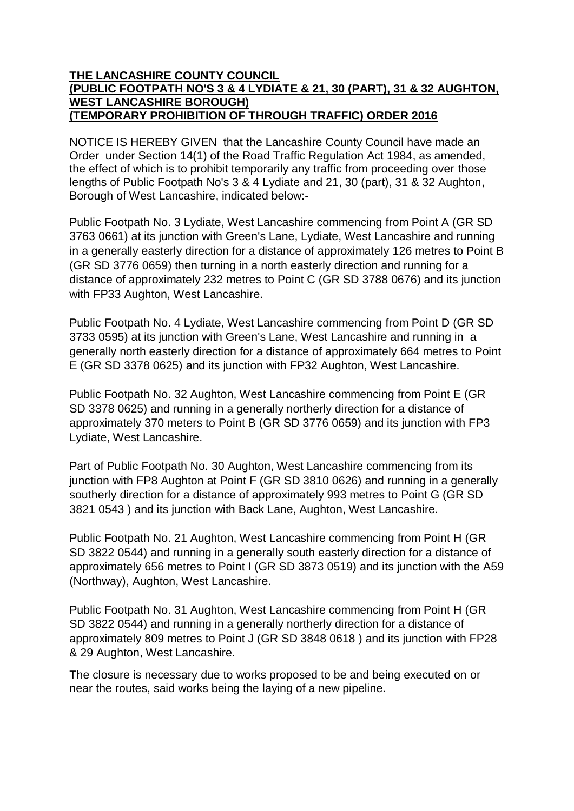## **THE LANCASHIRE COUNTY COUNCIL (PUBLIC FOOTPATH NO'S 3 & 4 LYDIATE & 21, 30 (PART), 31 & 32 AUGHTON, WEST LANCASHIRE BOROUGH) (TEMPORARY PROHIBITION OF THROUGH TRAFFIC) ORDER 2016**

NOTICE IS HEREBY GIVEN that the Lancashire County Council have made an Order under Section 14(1) of the Road Traffic Regulation Act 1984, as amended, the effect of which is to prohibit temporarily any traffic from proceeding over those lengths of Public Footpath No's 3 & 4 Lydiate and 21, 30 (part), 31 & 32 Aughton, Borough of West Lancashire, indicated below:-

Public Footpath No. 3 Lydiate, West Lancashire commencing from Point A (GR SD 3763 0661) at its junction with Green's Lane, Lydiate, West Lancashire and running in a generally easterly direction for a distance of approximately 126 metres to Point B (GR SD 3776 0659) then turning in a north easterly direction and running for a distance of approximately 232 metres to Point C (GR SD 3788 0676) and its junction with FP33 Aughton, West Lancashire.

Public Footpath No. 4 Lydiate, West Lancashire commencing from Point D (GR SD 3733 0595) at its junction with Green's Lane, West Lancashire and running in a generally north easterly direction for a distance of approximately 664 metres to Point E (GR SD 3378 0625) and its junction with FP32 Aughton, West Lancashire.

Public Footpath No. 32 Aughton, West Lancashire commencing from Point E (GR SD 3378 0625) and running in a generally northerly direction for a distance of approximately 370 meters to Point B (GR SD 3776 0659) and its junction with FP3 Lydiate, West Lancashire.

Part of Public Footpath No. 30 Aughton, West Lancashire commencing from its junction with FP8 Aughton at Point F (GR SD 3810 0626) and running in a generally southerly direction for a distance of approximately 993 metres to Point G (GR SD 3821 0543 ) and its junction with Back Lane, Aughton, West Lancashire.

Public Footpath No. 21 Aughton, West Lancashire commencing from Point H (GR SD 3822 0544) and running in a generally south easterly direction for a distance of approximately 656 metres to Point I (GR SD 3873 0519) and its junction with the A59 (Northway), Aughton, West Lancashire.

Public Footpath No. 31 Aughton, West Lancashire commencing from Point H (GR SD 3822 0544) and running in a generally northerly direction for a distance of approximately 809 metres to Point J (GR SD 3848 0618 ) and its junction with FP28 & 29 Aughton, West Lancashire.

The closure is necessary due to works proposed to be and being executed on or near the routes, said works being the laying of a new pipeline.